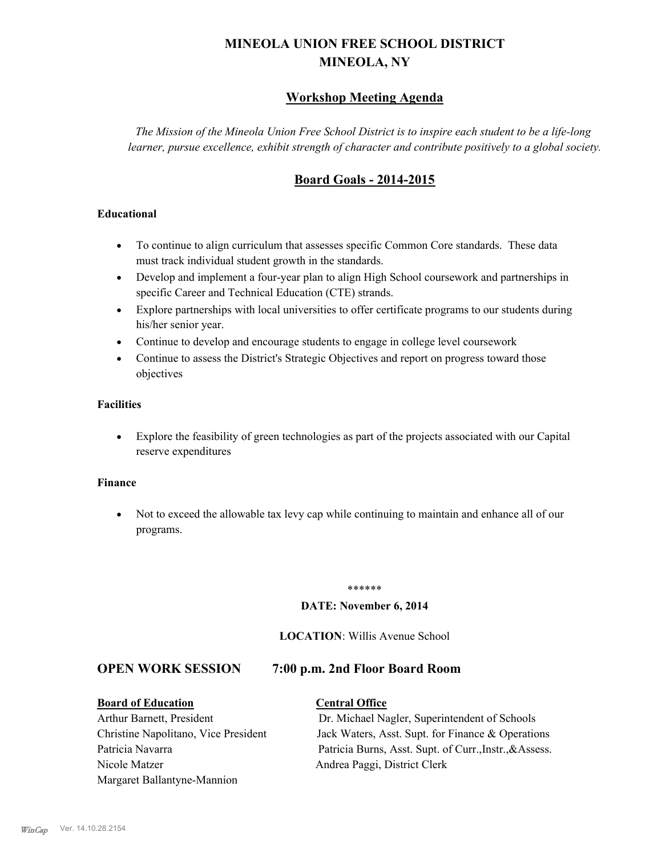# **MINEOLA UNION FREE SCHOOL DISTRICT MINEOLA, NY**

### **Workshop Meeting Agenda**

*The Mission of the Mineola Union Free School District is to inspire each student to be a life-long learner, pursue excellence, exhibit strength of character and contribute positively to a global society.*

## **Board Goals - 2014-2015**

#### **Educational**

- · To continue to align curriculum that assesses specific Common Core standards. These data must track individual student growth in the standards.
- · Develop and implement a four-year plan to align High School coursework and partnerships in specific Career and Technical Education (CTE) strands.
- · Explore partnerships with local universities to offer certificate programs to our students during his/her senior year.
- · Continue to develop and encourage students to engage in college level coursework
- Continue to assess the District's Strategic Objectives and report on progress toward those objectives

#### **Facilities**

· Explore the feasibility of green technologies as part of the projects associated with our Capital reserve expenditures

#### **Finance**

· Not to exceed the allowable tax levy cap while continuing to maintain and enhance all of our programs.

#### \*\*\*\*\*\*

#### **DATE: November 6, 2014**

#### **LOCATION**: Willis Avenue School

#### **OPEN WORK SESSION 7:00 p.m. 2nd Floor Board Room**

#### **Board of Education Central Office**

# Nicole Matzer Andrea Paggi, District Clerk Margaret Ballantyne-Mannion

Arthur Barnett, President Dr. Michael Nagler, Superintendent of Schools Christine Napolitano, Vice President Jack Waters, Asst. Supt. for Finance & Operations Patricia Navarra Patricia Burns, Asst. Supt. of Curr., Instr., &Assess.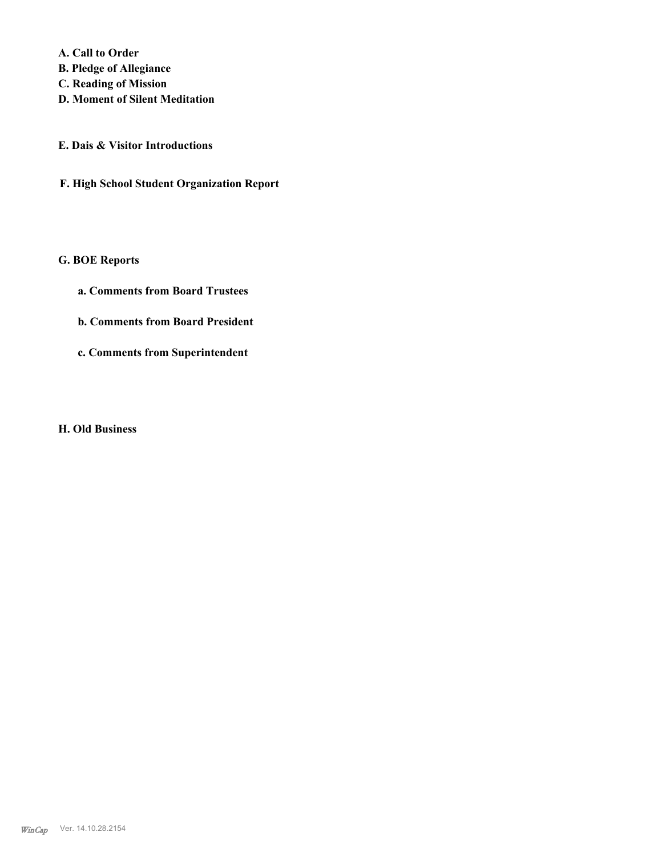**A. Call to Order** 

- **B. Pledge of Allegiance**
- **C. Reading of Mission**
- **D. Moment of Silent Meditation**
- **E. Dais & Visitor Introductions**
- **F. High School Student Organization Report**

#### **G. BOE Reports**

- **a. Comments from Board Trustees**
- **b. Comments from Board President**
- **c. Comments from Superintendent**

#### **H. Old Business**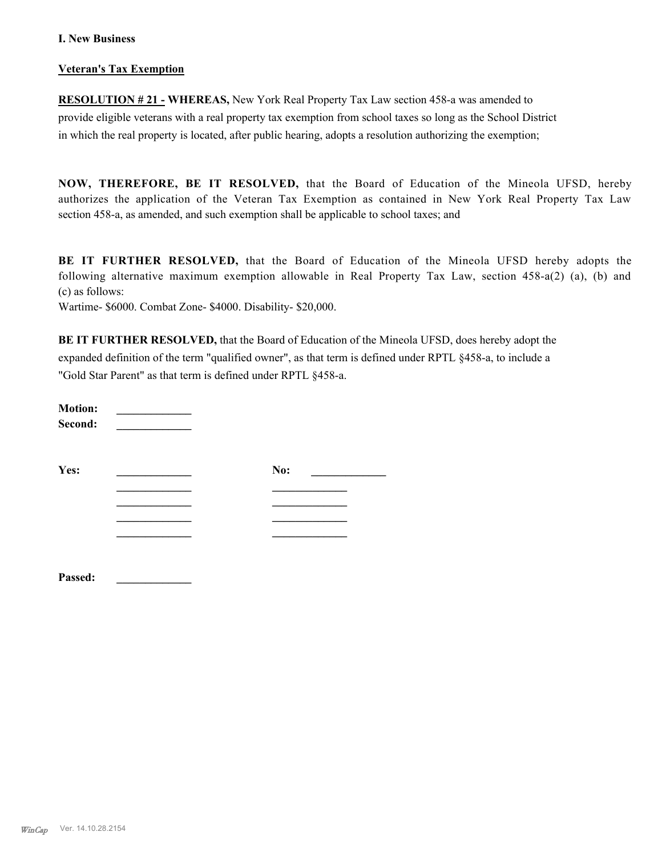#### **I. New Business**

#### **Veteran's Tax Exemption**

**RESOLUTION # 21 - WHEREAS,** New York Real Property Tax Law section 458-a was amended to provide eligible veterans with a real property tax exemption from school taxes so long as the School District in which the real property is located, after public hearing, adopts a resolution authorizing the exemption;

**NOW, THEREFORE, BE IT RESOLVED,** that the Board of Education of the Mineola UFSD, hereby authorizes the application of the Veteran Tax Exemption as contained in New York Real Property Tax Law section 458-a, as amended, and such exemption shall be applicable to school taxes; and

**BE IT FURTHER RESOLVED,** that the Board of Education of the Mineola UFSD hereby adopts the following alternative maximum exemption allowable in Real Property Tax Law, section 458-a(2) (a), (b) and (c) as follows:

Wartime- \$6000. Combat Zone- \$4000. Disability- \$20,000.

**BE IT FURTHER RESOLVED,** that the Board of Education of the Mineola UFSD, does hereby adopt the expanded definition of the term "qualified owner", as that term is defined under RPTL §458-a, to include a "Gold Star Parent" as that term is defined under RPTL §458-a.

| <b>Motion:</b><br>Second: |     |  |
|---------------------------|-----|--|
| Yes:                      | No: |  |
|                           |     |  |
|                           |     |  |
|                           |     |  |
|                           |     |  |
|                           |     |  |
| Passed:                   |     |  |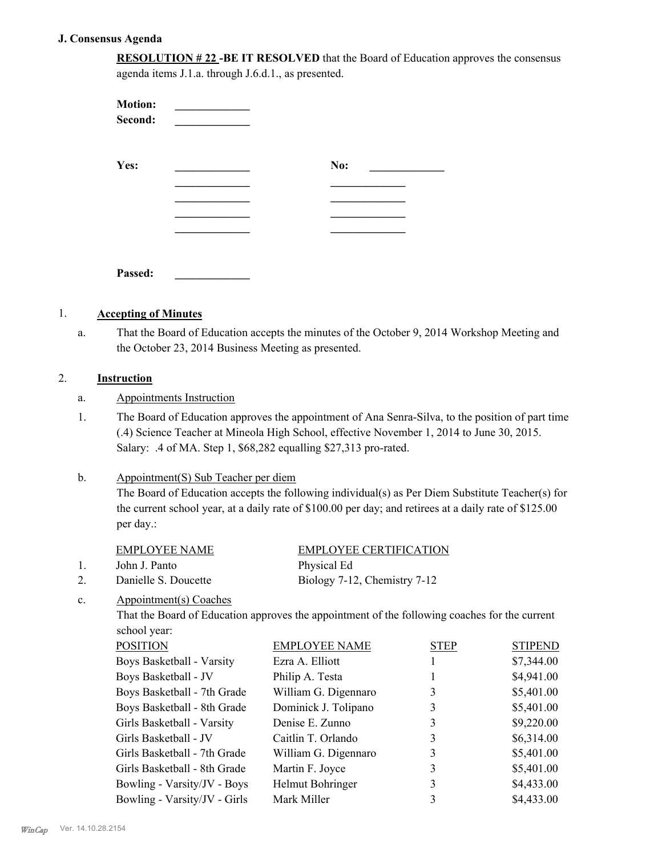#### **J. Consensus Agenda**

| <b>RESOLUTION #22 -BE IT RESOLVED</b> that the Board of Education approves the consensus |
|------------------------------------------------------------------------------------------|
| agenda items J.1.a. through J.6.d.1., as presented.                                      |

| <b>Motion:</b><br>Second: |     |
|---------------------------|-----|
| Yes:                      | No: |
|                           |     |
|                           |     |
| Passed:                   |     |

#### 1. **Accepting of Minutes**

That the Board of Education accepts the minutes of the October 9, 2014 Workshop Meeting and the October 23, 2014 Business Meeting as presented. a.

#### 2. **Instruction**

#### a. Appointments Instruction

The Board of Education approves the appointment of Ana Senra-Silva, to the position of part time (.4) Science Teacher at Mineola High School, effective November 1, 2014 to June 30, 2015. Salary: .4 of MA. Step 1, \$68,282 equalling \$27,313 pro-rated. 1.

#### Appointment(S) Sub Teacher per diem b.

The Board of Education accepts the following individual(s) as Per Diem Substitute Teacher(s) for the current school year, at a daily rate of \$100.00 per day; and retirees at a daily rate of \$125.00 per day.:

|                | <b>EMPLOYEE NAME</b>   | <b>EMPLOYEE CERTIFICATION</b>                                                                 |
|----------------|------------------------|-----------------------------------------------------------------------------------------------|
| 1.             | John J. Panto          | Physical Ed                                                                                   |
| 2.             | Danielle S. Doucette   | Biology 7-12, Chemistry 7-12                                                                  |
| $\mathbf{c}$ . | Appointment(s) Coaches |                                                                                               |
|                |                        | That the Board of Education approves the appointment of the following coaches for the current |
|                | school year:           |                                                                                               |

| <b>POSITION</b>              | <b>EMPLOYEE NAME</b> | <b>STEP</b> | <b>STIPEND</b> |
|------------------------------|----------------------|-------------|----------------|
| Boys Basketball - Varsity    | Ezra A. Elliott      |             | \$7,344.00     |
| Boys Basketball - JV         | Philip A. Testa      |             | \$4,941.00     |
| Boys Basketball - 7th Grade  | William G. Digennaro | 3           | \$5,401.00     |
| Boys Basketball - 8th Grade  | Dominick J. Tolipano | 3           | \$5,401.00     |
| Girls Basketball - Varsity   | Denise E. Zunno      | 3           | \$9,220.00     |
| Girls Basketball - JV        | Caitlin T. Orlando   | 3           | \$6,314.00     |
| Girls Basketball - 7th Grade | William G. Digennaro | 3           | \$5,401.00     |
| Girls Basketball - 8th Grade | Martin F. Joyce      | 3           | \$5,401.00     |
| Bowling - Varsity/JV - Boys  | Helmut Bohringer     | 3           | \$4,433.00     |
| Bowling - Varsity/JV - Girls | Mark Miller          | 3           | \$4,433.00     |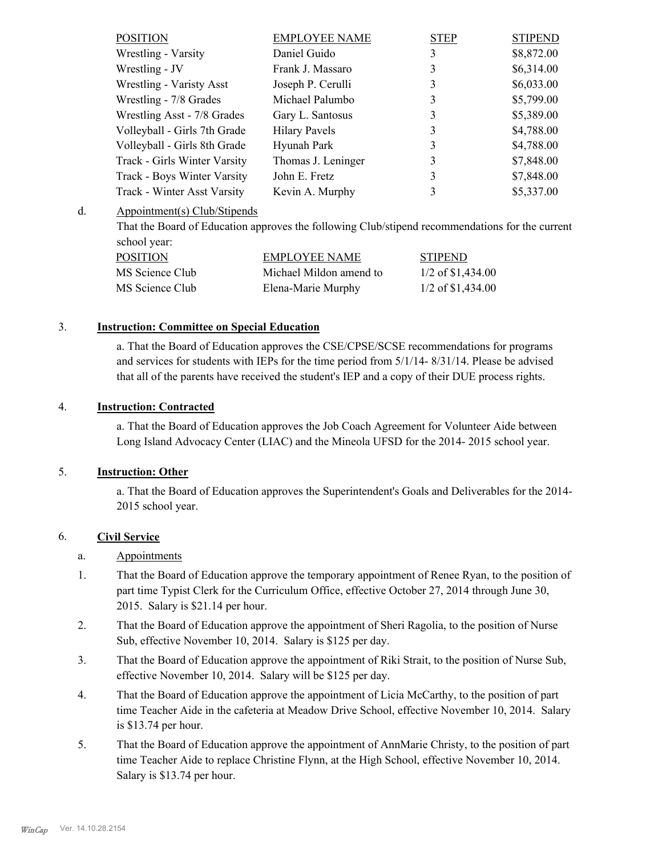| <b>POSITION</b>              | <b>EMPLOYEE NAME</b> | <b>STEP</b> | <b>STIPEND</b> |
|------------------------------|----------------------|-------------|----------------|
| Wrestling - Varsity          | Daniel Guido         | 3           | \$8,872.00     |
| Wrestling - JV               | Frank J. Massaro     | 3           | \$6,314.00     |
| Wrestling - Varisty Asst     | Joseph P. Cerulli    | 3           | \$6,033.00     |
| Wrestling - 7/8 Grades       | Michael Palumbo      | 3           | \$5,799.00     |
| Wrestling Asst - 7/8 Grades  | Gary L. Santosus     | 3           | \$5,389.00     |
| Volleyball - Girls 7th Grade | <b>Hilary Pavels</b> | 3           | \$4,788.00     |
| Volleyball - Girls 8th Grade | Hyunah Park          | 3           | \$4,788.00     |
| Track - Girls Winter Varsity | Thomas J. Leninger   | 3           | \$7,848.00     |
| Track - Boys Winter Varsity  | John E. Fretz        | 3           | \$7,848.00     |
| Track - Winter Asst Varsity  | Kevin A. Murphy      | 3           | \$5,337.00     |

#### Appointment(s) Club/Stipends d.

That the Board of Education approves the following Club/stipend recommendations for the current school year:

| POSITION        | <b>EMPLOYEE NAME</b>    | <b>STIPEND</b>      |
|-----------------|-------------------------|---------------------|
| MS Science Club | Michael Mildon amend to | $1/2$ of \$1,434.00 |
| MS Science Club | Elena-Marie Murphy      | $1/2$ of \$1,434.00 |

#### 3. **Instruction: Committee on Special Education**

a. That the Board of Education approves the CSE/CPSE/SCSE recommendations for programs and services for students with IEPs for the time period from 5/1/14- 8/31/14. Please be advised that all of the parents have received the student's IEP and a copy of their DUE process rights.

#### 4. **Instruction: Contracted**

a. That the Board of Education approves the Job Coach Agreement for Volunteer Aide between Long Island Advocacy Center (LIAC) and the Mineola UFSD for the 2014- 2015 school year.

#### 5. **Instruction: Other**

a. That the Board of Education approves the Superintendent's Goals and Deliverables for the 2014- 2015 school year.

#### 6. **Civil Service**

#### a. Appointments

- That the Board of Education approve the temporary appointment of Renee Ryan, to the position of part time Typist Clerk for the Curriculum Office, effective October 27, 2014 through June 30, 2015. Salary is \$21.14 per hour. 1.
- That the Board of Education approve the appointment of Sheri Ragolia, to the position of Nurse Sub, effective November 10, 2014. Salary is \$125 per day. 2.
- That the Board of Education approve the appointment of Riki Strait, to the position of Nurse Sub, effective November 10, 2014. Salary will be \$125 per day. 3.
- That the Board of Education approve the appointment of Licia McCarthy, to the position of part time Teacher Aide in the cafeteria at Meadow Drive School, effective November 10, 2014. Salary is \$13.74 per hour. 4.
- That the Board of Education approve the appointment of AnnMarie Christy, to the position of part time Teacher Aide to replace Christine Flynn, at the High School, effective November 10, 2014. Salary is \$13.74 per hour. 5.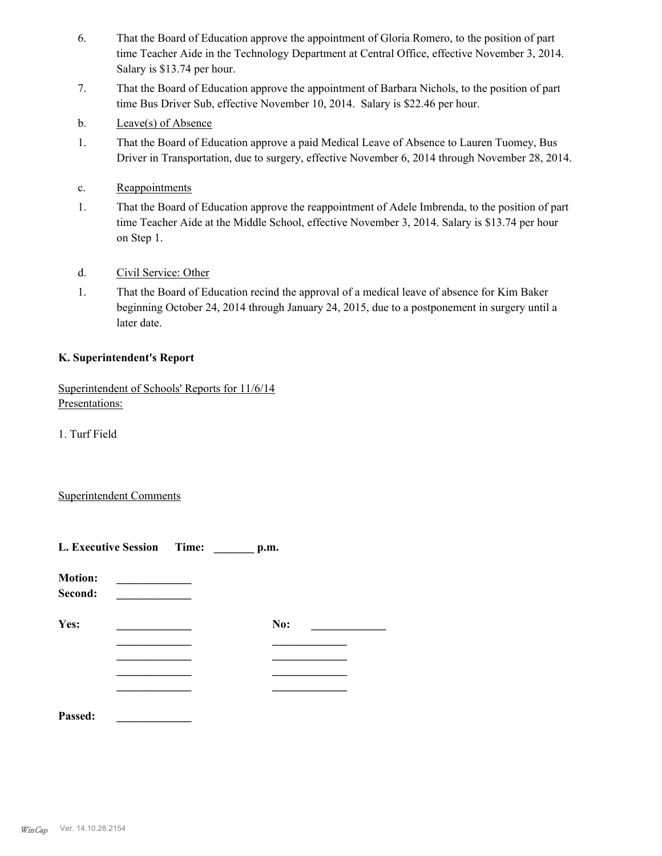- That the Board of Education approve the appointment of Gloria Romero, to the position of part time Teacher Aide in the Technology Department at Central Office, effective November 3, 2014. Salary is \$13.74 per hour. 6.
- That the Board of Education approve the appointment of Barbara Nichols, to the position of part time Bus Driver Sub, effective November 10, 2014. Salary is \$22.46 per hour. 7.
- b. Leave(s) of Absence
- That the Board of Education approve a paid Medical Leave of Absence to Lauren Tuomey, Bus Driver in Transportation, due to surgery, effective November 6, 2014 through November 28, 2014. 1.
- c. Reappointments
- That the Board of Education approve the reappointment of Adele Imbrenda, to the position of part time Teacher Aide at the Middle School, effective November 3, 2014. Salary is \$13.74 per hour on Step 1. 1.
- d. Civil Service: Other
- That the Board of Education recind the approval of a medical leave of absence for Kim Baker beginning October 24, 2014 through January 24, 2015, due to a postponement in surgery until a later date. 1.

#### **K. Superintendent's Report**

Superintendent of Schools' Reports for 11/6/14 Presentations:

1. Turf Field

#### Superintendent Comments

|                           | L. Executive Session Time: _______ p.m. |  |     |  |
|---------------------------|-----------------------------------------|--|-----|--|
| <b>Motion:</b><br>Second: |                                         |  |     |  |
| Yes:                      |                                         |  | No: |  |
|                           |                                         |  |     |  |
|                           |                                         |  |     |  |
|                           |                                         |  |     |  |
| Passed:                   |                                         |  |     |  |